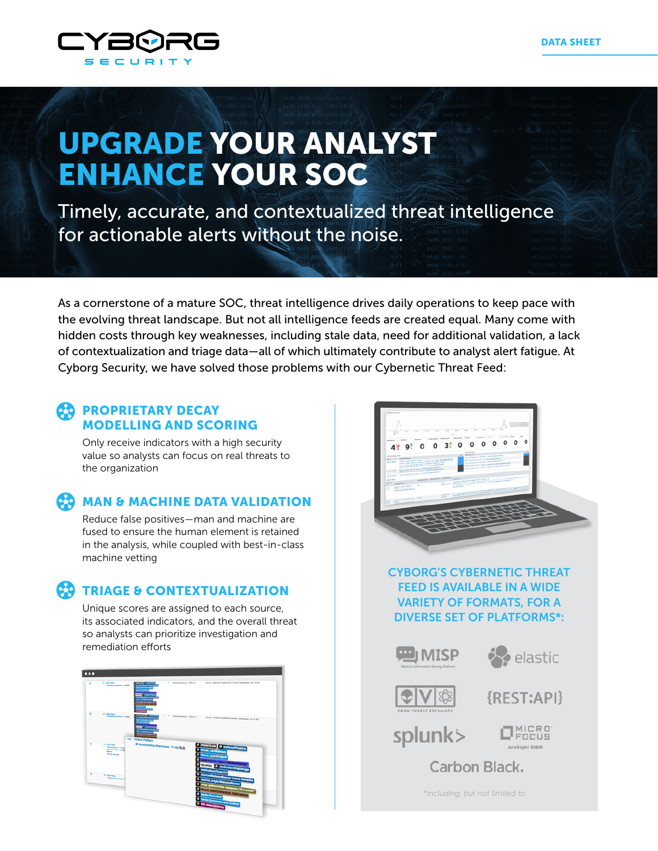

# UPGRADE YOUR ANALYST ENHANCE YOUR SOC

Timely, accurate, and contextualized threat intelligence for actionable alerts without the noise.

As a cornerstone of a mature SOC, threat intelligence drives daily operations to keep pace with the evolving threat landscape. But not all intelligence feeds are created equal. Many come with hidden costs through key weaknesses, including stale data, need for additional validation, a lack of contextualization and triage data—all of which ultimately contribute to analyst alert fatigue. At Cyborg Security, we have solved those problems with our Cybernetic Threat Feed:

### **CO PROPRIETARY DECAY** MODELLING AND SCORING

Only receive indicators with a high security value so analysts can focus on real threats to the organization

# **CO** MAN & MACHINE DATA VALIDATION

Reduce false positives—man and machine are fused to ensure the human element is retained in the analysis, while coupled with best-in-class machine vetting

# **C.9** TRIAGE & CONTEXTUALIZATION

Unique scores are assigned to each source, its associated indicators, and the overall threat so analysts can prioritize investigation and remediation efforts





CYBORG'S CYBERNETIC THREAT FEED IS AVAILABLE IN A WIDE VARIETY OF FORMATS, FOR A DIVERSE SET OF PLATFORMS\*:







{REST:API}

splunk>

**ENCUS** 

Carbon Black.

*\*including, but not limited to*